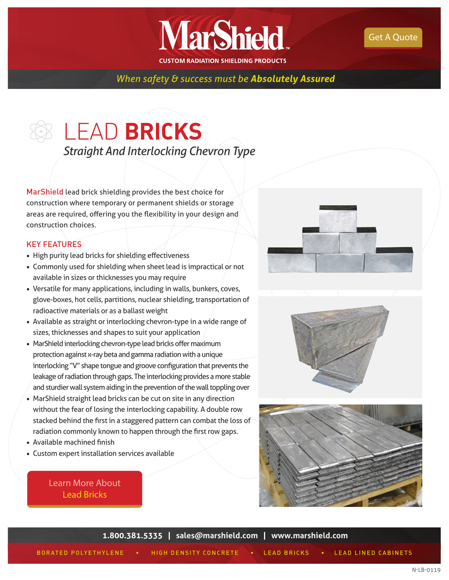

**CUSTOM RADIATION SHIELDING PRODUCTS** 

**MarShield** 

## *When safety & success must be Absolutely Assured*

# LEAD **BRICKS** *Straight And Interlocking Chevron Type*

MarShield lead brick shielding provides the best choice for construction where temporary or permanent shields or storage areas are required, offering you the flexibility in your design and construction choices.

#### KEY FEATURES

- High purity lead bricks for shielding effectiveness
- Commonly used for shielding when sheet lead is impractical or not available in sizes or thicknesses you may require
- Versatile for many applications, including in walls, bunkers, coves, glove-boxes, hot cells, partitions, nuclear shielding, transportation of radioactive materials or as a ballast weight
- Available as straight or interlocking chevron-type in a wide range of sizes, thicknesses and shapes to suit your application
- MarShield interlocking chevron-type lead bricks offer maximum protection against x-ray beta and gamma radiation with a unique interlocking "V" shape tongue and groove configuration that prevents the leakage of radiation through gaps. The interlocking provides a more stable and sturdier wall system aiding in the prevention of the wall toppling over
- MarShield straight lead bricks can be cut on site in any direction without the fear of losing the interlocking capability. A double row stacked behind the first in a staggered pattern can combat the loss of radiation commonly known to happen through the first row gaps.
- Available machined finish
- Custom expert installation services available